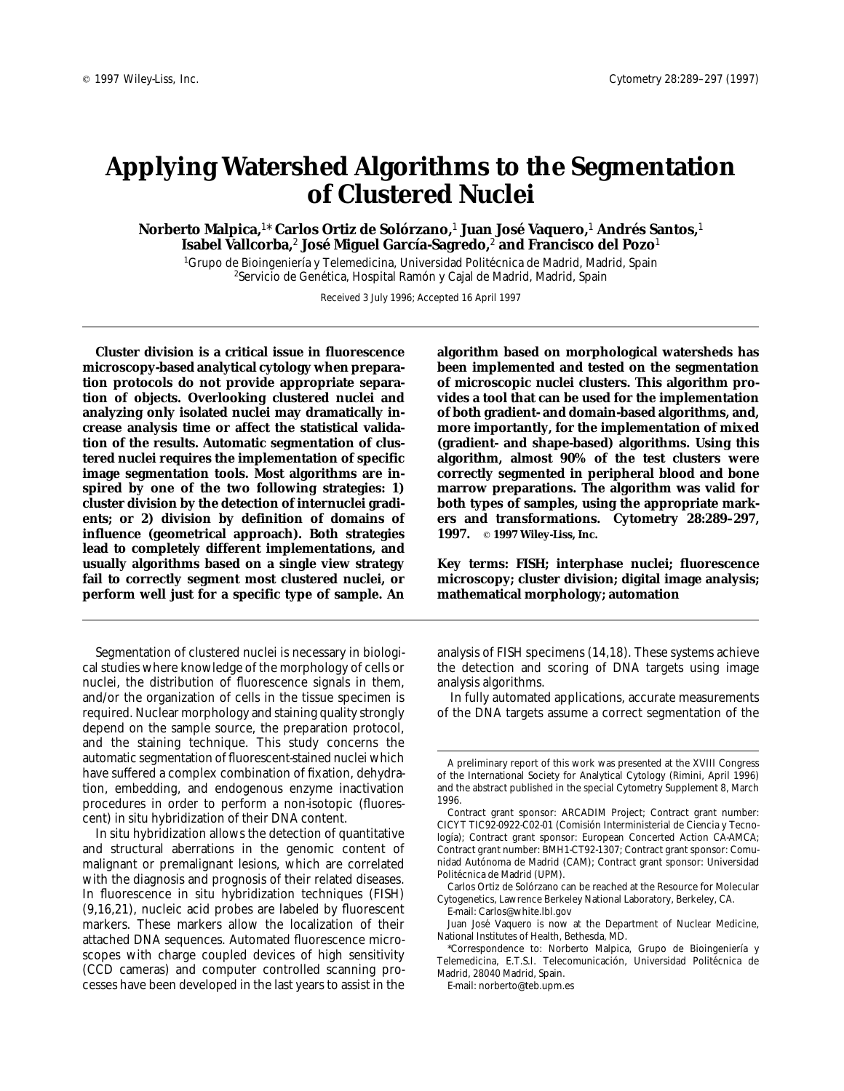# **Applying Watershed Algorithms to the Segmentation of Clustered Nuclei**

**Norberto Malpica,**1\* **Carlos Ortiz de Solo´rzano,**<sup>1</sup> **Juan Jose´ Vaquero,**<sup>1</sup> **Andre´s Santos,**<sup>1</sup> **Isabel Vallcorba,**<sup>2</sup> **Jose´ Miguel Garcı´a-Sagredo,**<sup>2</sup> **and Francisco del Pozo**<sup>1</sup>

<sup>1</sup>Grupo de Bioingeniería y Telemedicina, Universidad Politécnica de Madrid, Madrid, Spain <sup>2</sup>Servicio de Genética, Hospital Ramón y Cajal de Madrid, Madrid, Spain

Received 3 July 1996; Accepted 16 April 1997

**Cluster division is a critical issue in fluorescence microscopy-based analytical cytology when preparation protocols do not provide appropriate separation of objects. Overlooking clustered nuclei and analyzing only isolated nuclei may dramatically increase analysis time or affect the statistical validation of the results. Automatic segmentation of clustered nuclei requires the implementation of specific image segmentation tools. Most algorithms are inspired by one of the two following strategies: 1) cluster division by the detection of internuclei gradients; or 2) division by definition of domains of influence (geometrical approach). Both strategies lead to completely different implementations, and usually algorithms based on a single view strategy fail to correctly segment most clustered nuclei, or perform well just for a specific type of sample. An**

Segmentation of clustered nuclei is necessary in biological studies where knowledge of the morphology of cells or nuclei, the distribution of fluorescence signals in them, and/or the organization of cells in the tissue specimen is required. Nuclear morphology and staining quality strongly depend on the sample source, the preparation protocol, and the staining technique. This study concerns the automatic segmentation of fluorescent-stained nuclei which have suffered a complex combination of fixation, dehydration, embedding, and endogenous enzyme inactivation procedures in order to perform a non-isotopic (fluorescent) in situ hybridization of their DNA content.

In situ hybridization allows the detection of quantitative and structural aberrations in the genomic content of malignant or premalignant lesions, which are correlated with the diagnosis and prognosis of their related diseases. In fluorescence in situ hybridization techniques (FISH) (9,16,21), nucleic acid probes are labeled by fluorescent markers. These markers allow the localization of their attached DNA sequences. Automated fluorescence microscopes with charge coupled devices of high sensitivity (CCD cameras) and computer controlled scanning processes have been developed in the last years to assist in the

**algorithm based on morphological watersheds has been implemented and tested on the segmentation of microscopic nuclei clusters. This algorithm provides a tool that can be used for the implementation of both gradient- and domain-based algorithms, and, more importantly, for the implementation of mixed (gradient- and shape-based) algorithms. Using this algorithm, almost 90% of the test clusters were correctly segmented in peripheral blood and bone marrow preparations. The algorithm was valid for both types of samples, using the appropriate markers and transformations. Cytometry 28:289–297, 1997.** © 1997 Wiley-Liss, Inc.

**Key terms: FISH; interphase nuclei; fluorescence microscopy; cluster division; digital image analysis; mathematical morphology; automation**

analysis of FISH specimens (14,18). These systems achieve the detection and scoring of DNA targets using image analysis algorithms.

In fully automated applications, accurate measurements of the DNA targets assume a correct segmentation of the

E-mail: Carlos@white.lbl.gov

A preliminary report of this work was presented at the XVIII Congress of the International Society for Analytical Cytology (Rimini, April 1996) and the abstract published in the special Cytometry Supplement 8, March 1996.

Contract grant sponsor: ARCADIM Project; Contract grant number: CICYT TIC92-0922-C02-01 (Comisión Interministerial de Ciencia y Tecnología); Contract grant sponsor: European Concerted Action CA-AMCA; Contract grant number: BMH1-CT92-1307; Contract grant sponsor: Comunidad Autónoma de Madrid (CAM); Contract grant sponsor: Universidad Politécnica de Madrid (UPM).

Carlos Ortiz de Solórzano can be reached at the Resource for Molecular Cytogenetics, Lawrence Berkeley National Laboratory, Berkeley, CA.

Juan José Vaquero is now at the Department of Nuclear Medicine, National Institutes of Health, Bethesda, MD.

<sup>\*</sup>Correspondence to: Norberto Malpica, Grupo de Bioingeniería y Telemedicina, E.T.S.I. Telecomunicación, Universidad Politécnica de Madrid, 28040 Madrid, Spain.

E-mail: norberto@teb.upm.es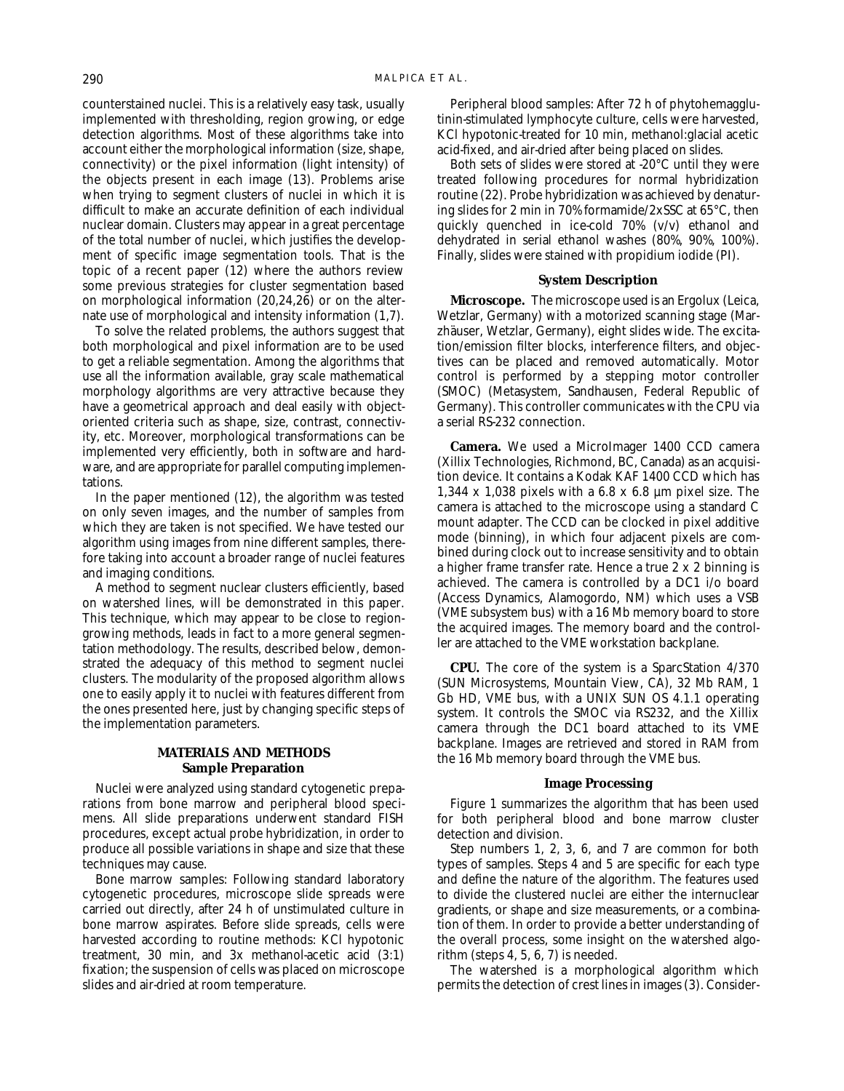counterstained nuclei. This is a relatively easy task, usually implemented with thresholding, region growing, or edge detection algorithms. Most of these algorithms take into account either the morphological information (size, shape, connectivity) or the pixel information (light intensity) of the objects present in each image (13). Problems arise when trying to segment clusters of nuclei in which it is difficult to make an accurate definition of each individual nuclear domain. Clusters may appear in a great percentage of the total number of nuclei, which justifies the development of specific image segmentation tools. That is the topic of a recent paper (12) where the authors review some previous strategies for cluster segmentation based on morphological information (20,24,26) or on the alternate use of morphological and intensity information (1,7).

To solve the related problems, the authors suggest that both morphological and pixel information are to be used to get a reliable segmentation. Among the algorithms that use all the information available, gray scale mathematical morphology algorithms are very attractive because they have a geometrical approach and deal easily with objectoriented criteria such as shape, size, contrast, connectivity, etc. Moreover, morphological transformations can be implemented very efficiently, both in software and hardware, and are appropriate for parallel computing implementations.

In the paper mentioned (12), the algorithm was tested on only seven images, and the number of samples from which they are taken is not specified. We have tested our algorithm using images from nine different samples, therefore taking into account a broader range of nuclei features and imaging conditions.

A method to segment nuclear clusters efficiently, based on watershed lines, will be demonstrated in this paper. This technique, which may appear to be close to regiongrowing methods, leads in fact to a more general segmentation methodology. The results, described below, demonstrated the adequacy of this method to segment nuclei clusters. The modularity of the proposed algorithm allows one to easily apply it to nuclei with features different from the ones presented here, just by changing specific steps of the implementation parameters.

## **MATERIALS AND METHODS Sample Preparation**

Nuclei were analyzed using standard cytogenetic preparations from bone marrow and peripheral blood specimens. All slide preparations underwent standard FISH procedures, except actual probe hybridization, in order to produce all possible variations in shape and size that these techniques may cause.

Bone marrow samples: Following standard laboratory cytogenetic procedures, microscope slide spreads were carried out directly, after 24 h of unstimulated culture in bone marrow aspirates. Before slide spreads, cells were harvested according to routine methods: KCl hypotonic treatment, 30 min, and 3x methanol-acetic acid (3:1) fixation; the suspension of cells was placed on microscope slides and air-dried at room temperature.

Peripheral blood samples: After 72 h of phytohemagglutinin-stimulated lymphocyte culture, cells were harvested, KCl hypotonic-treated for 10 min, methanol:glacial acetic acid-fixed, and air-dried after being placed on slides.

Both sets of slides were stored at -20°C until they were treated following procedures for normal hybridization routine (22). Probe hybridization was achieved by denaturing slides for 2 min in 70% formamide/2xSSC at 65°C, then quickly quenched in ice-cold 70% (v/v) ethanol and dehydrated in serial ethanol washes (80%, 90%, 100%). Finally, slides were stained with propidium iodide (PI).

### **System Description**

**Microscope.** The microscope used is an Ergolux (Leica, Wetzlar, Germany) with a motorized scanning stage (Marzhäuser, Wetzlar, Germany), eight slides wide. The excitation/emission filter blocks, interference filters, and objectives can be placed and removed automatically. Motor control is performed by a stepping motor controller (SMOC) (Metasystem, Sandhausen, Federal Republic of Germany). This controller communicates with the CPU via a serial RS-232 connection.

**Camera.** We used a MicroImager 1400 CCD camera (Xillix Technologies, Richmond, BC, Canada) as an acquisition device. It contains a Kodak KAF 1400 CCD which has 1,344 x 1,038 pixels with a 6.8 x 6.8 µm pixel size. The camera is attached to the microscope using a standard C mount adapter. The CCD can be clocked in pixel additive mode (binning), in which four adjacent pixels are combined during clock out to increase sensitivity and to obtain a higher frame transfer rate. Hence a true  $2 \times 2$  binning is achieved. The camera is controlled by a DC1 i/o board (Access Dynamics, Alamogordo, NM) which uses a VSB (VME subsystem bus) with a 16 Mb memory board to store the acquired images. The memory board and the controller are attached to the VME workstation backplane.

**CPU.** The core of the system is a SparcStation 4/370 (SUN Microsystems, Mountain View, CA), 32 Mb RAM, 1 Gb HD, VME bus, with a UNIX SUN OS 4.1.1 operating system. It controls the SMOC via RS232, and the Xillix camera through the DC1 board attached to its VME backplane. Images are retrieved and stored in RAM from the 16 Mb memory board through the VME bus.

#### **Image Processing**

Figure 1 summarizes the algorithm that has been used for both peripheral blood and bone marrow cluster detection and division.

Step numbers 1, 2, 3, 6, and 7 are common for both types of samples. Steps 4 and 5 are specific for each type and define the nature of the algorithm. The features used to divide the clustered nuclei are either the internuclear gradients, or shape and size measurements, or a combination of them. In order to provide a better understanding of the overall process, some insight on the watershed algorithm (steps 4, 5, 6, 7) is needed.

The watershed is a morphological algorithm which permits the detection of crest lines in images (3). Consider-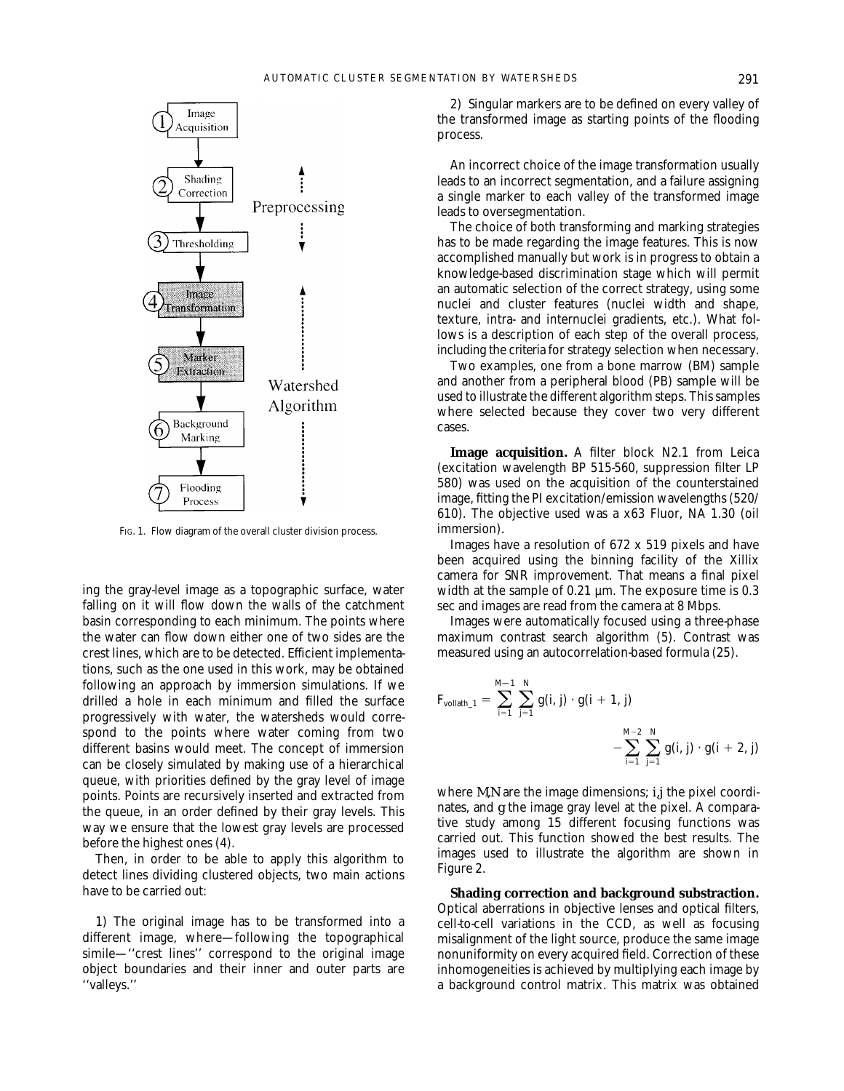

FIG. 1. Flow diagram of the overall cluster division process.

ing the gray-level image as a topographic surface, water falling on it will flow down the walls of the catchment basin corresponding to each minimum. The points where the water can flow down either one of two sides are the crest lines, which are to be detected. Efficient implementations, such as the one used in this work, may be obtained following an approach by immersion simulations. If we drilled a hole in each minimum and filled the surface progressively with water, the watersheds would correspond to the points where water coming from two different basins would meet. The concept of immersion can be closely simulated by making use of a hierarchical queue, with priorities defined by the gray level of image points. Points are recursively inserted and extracted from the queue, in an order defined by their gray levels. This way we ensure that the lowest gray levels are processed before the highest ones (4).

Then, in order to be able to apply this algorithm to detect lines dividing clustered objects, two main actions have to be carried out:

1) The original image has to be transformed into a different image, where—following the topographical simile—''crest lines'' correspond to the original image object boundaries and their inner and outer parts are ''valleys.''

2) Singular markers are to be defined on every valley of the transformed image as starting points of the flooding process.

An incorrect choice of the image transformation usually leads to an incorrect segmentation, and a failure assigning a single marker to each valley of the transformed image leads to oversegmentation.

The choice of both transforming and marking strategies has to be made regarding the image features. This is now accomplished manually but work is in progress to obtain a knowledge-based discrimination stage which will permit an automatic selection of the correct strategy, using some nuclei and cluster features (nuclei width and shape, texture, intra- and internuclei gradients, etc.). What follows is a description of each step of the overall process, including the criteria for strategy selection when necessary.

Two examples, one from a bone marrow (BM) sample and another from a peripheral blood (PB) sample will be used to illustrate the different algorithm steps. This samples where selected because they cover two very different cases.

**Image acquisition.** A filter block N2.1 from Leica (excitation wavelength BP 515-560, suppression filter LP 580) was used on the acquisition of the counterstained image, fitting the PI excitation/emission wavelengths (520/ 610). The objective used was a x63 Fluor, NA 1.30 (oil immersion).

Images have a resolution of 672 x 519 pixels and have been acquired using the binning facility of the Xillix camera for SNR improvement. That means a final pixel width at the sample of 0.21 µm. The exposure time is 0.3 sec and images are read from the camera at 8 Mbps.

Images were automatically focused using a three-phase maximum contrast search algorithm (5). Contrast was measured using an autocorrelation-based formula (25).

$$
F_{vollath\_1} = \sum_{i=1}^{M-1} \sum_{j=1}^{N} g(i,j) \cdot g(i+1,j) - \sum_{i=1}^{M-2} \sum_{j=1}^{N} g(i,j) \cdot g(i+2,j)
$$

where *M,N* are the image dimensions; *i,j* the pixel coordinates, and *g* the image gray level at the pixel. A comparative study among 15 different focusing functions was carried out. This function showed the best results. The images used to illustrate the algorithm are shown in Figure 2.

**Shading correction and background substraction.** Optical aberrations in objective lenses and optical filters, cell-to-cell variations in the CCD, as well as focusing misalignment of the light source, produce the same image nonuniformity on every acquired field. Correction of these inhomogeneities is achieved by multiplying each image by a background control matrix. This matrix was obtained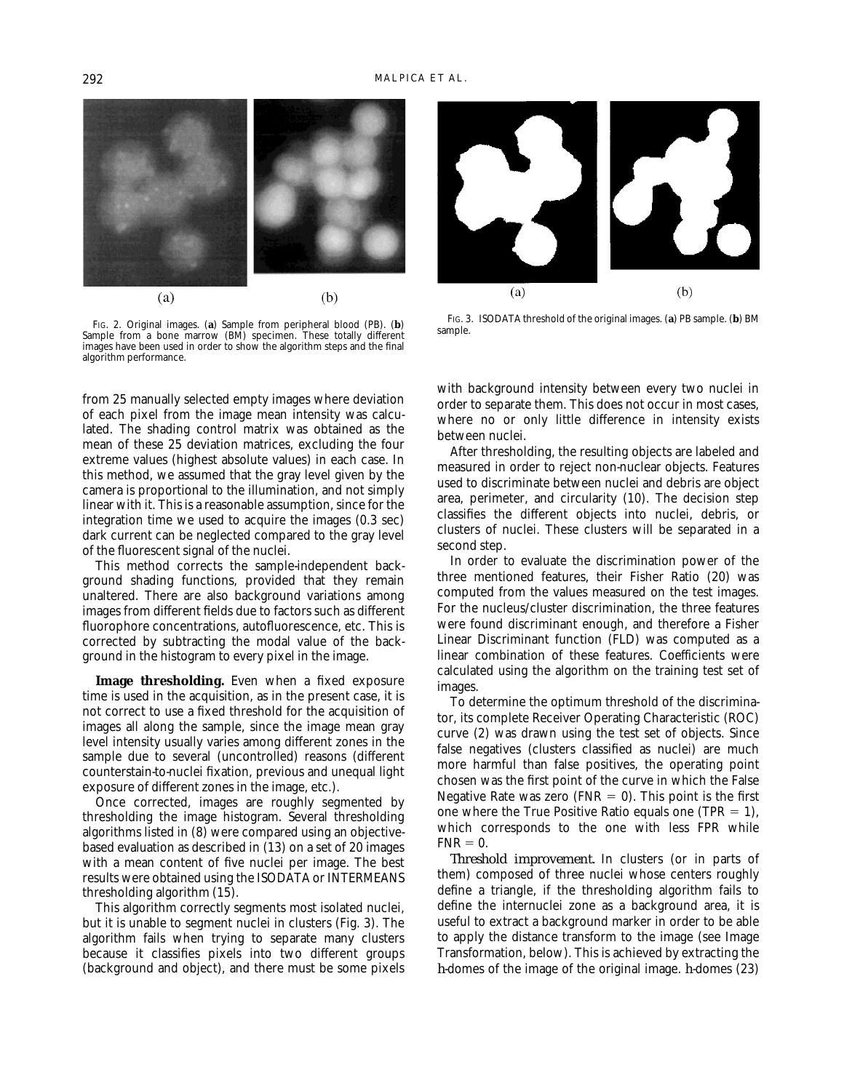

FIG. 2. Original images. (**a**) Sample from peripheral blood (PB). (**b**) Sample from a bone marrow (BM) specimen. These totally different images have been used in order to show the algorithm steps and the final algorithm performance.

from 25 manually selected empty images where deviation of each pixel from the image mean intensity was calculated. The shading control matrix was obtained as the mean of these 25 deviation matrices, excluding the four extreme values (highest absolute values) in each case. In this method, we assumed that the gray level given by the camera is proportional to the illumination, and not simply linear with it. This is a reasonable assumption, since for the integration time we used to acquire the images (0.3 sec) dark current can be neglected compared to the gray level of the fluorescent signal of the nuclei.

This method corrects the sample-independent background shading functions, provided that they remain unaltered. There are also background variations among images from different fields due to factors such as different fluorophore concentrations, autofluorescence, etc. This is corrected by subtracting the modal value of the background in the histogram to every pixel in the image.

**Image thresholding.** Even when a fixed exposure time is used in the acquisition, as in the present case, it is not correct to use a fixed threshold for the acquisition of images all along the sample, since the image mean gray level intensity usually varies among different zones in the sample due to several (uncontrolled) reasons (different counterstain-to-nuclei fixation, previous and unequal light exposure of different zones in the image, etc.).

Once corrected, images are roughly segmented by thresholding the image histogram. Several thresholding algorithms listed in (8) were compared using an objectivebased evaluation as described in (13) on a set of 20 images with a mean content of five nuclei per image. The best results were obtained using the ISODATA or INTERMEANS thresholding algorithm (15).

This algorithm correctly segments most isolated nuclei, but it is unable to segment nuclei in clusters (Fig. 3). The algorithm fails when trying to separate many clusters because it classifies pixels into two different groups (background and object), and there must be some pixels



FIG. 3. ISODATA threshold of the original images. (**a**) PB sample. (**b**) BM sample.

with background intensity between every two nuclei in order to separate them. This does not occur in most cases, where no or only little difference in intensity exists between nuclei.

After thresholding, the resulting objects are labeled and measured in order to reject non-nuclear objects. Features used to discriminate between nuclei and debris are object area, perimeter, and circularity (10). The decision step classifies the different objects into nuclei, debris, or clusters of nuclei. These clusters will be separated in a second step.

In order to evaluate the discrimination power of the three mentioned features, their Fisher Ratio (20) was computed from the values measured on the test images. For the nucleus/cluster discrimination, the three features were found discriminant enough, and therefore a Fisher Linear Discriminant function (FLD) was computed as a linear combination of these features. Coefficients were calculated using the algorithm on the training test set of images.

To determine the optimum threshold of the discriminator, its complete Receiver Operating Characteristic (ROC) curve (2) was drawn using the test set of objects. Since false negatives (clusters classified as nuclei) are much more harmful than false positives, the operating point chosen was the first point of the curve in which the False Negative Rate was zero (FNR  $= 0$ ). This point is the first one where the True Positive Ratio equals one (TPR  $= 1$ ), which corresponds to the one with less FPR while  $FNR = 0.$ 

*Threshold improvement.* In clusters (or in parts of them) composed of three nuclei whose centers roughly define a triangle, if the thresholding algorithm fails to define the internuclei zone as a background area, it is useful to extract a background marker in order to be able to apply the distance transform to the image (see Image Transformation, below). This is achieved by extracting the *h*-domes of the image of the original image. *h*-domes (23)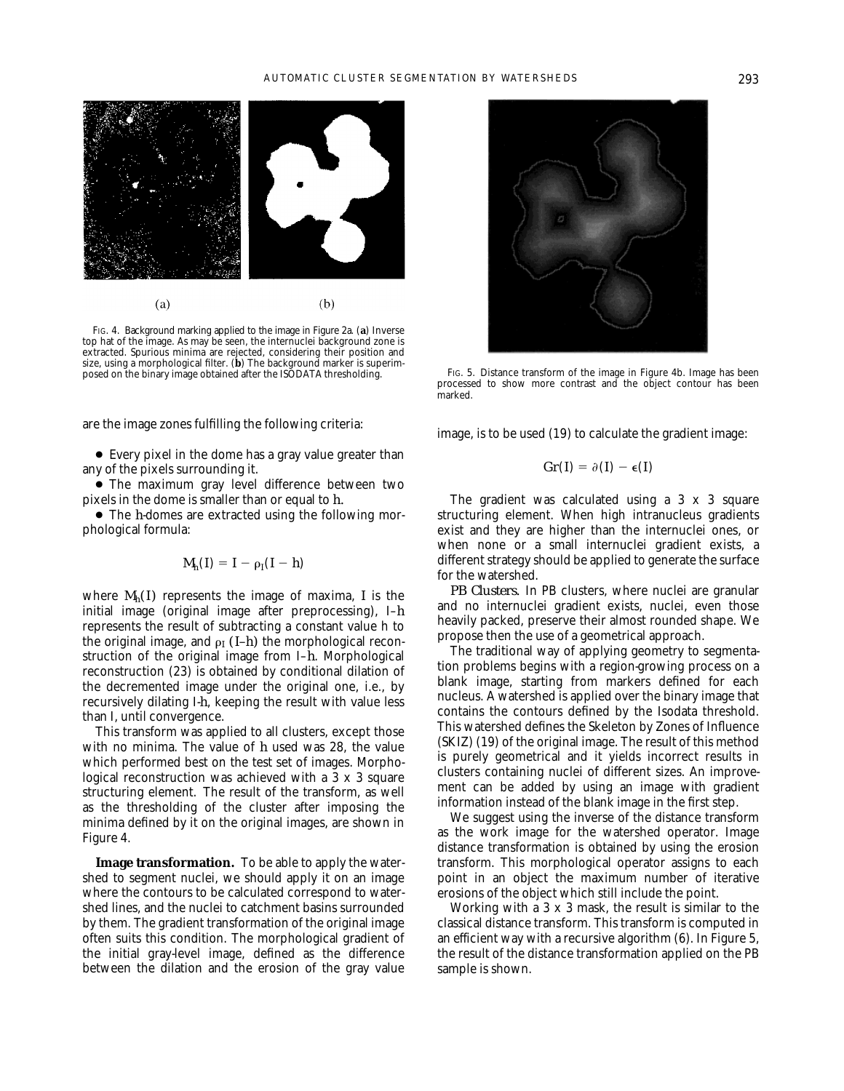

FIG. 4. Background marking applied to the image in Figure 2a. (**a**) Inverse top hat of the image. As may be seen, the internuclei background zone is extracted. Spurious minima are rejected, considering their position and size, using a morphological filter. (**b**) The background marker is superim-<br>posed on the binary image obtained after the ISODATA thresholding.

are the image zones fulfilling the following criteria:

• Every pixel in the dome has a gray value greater than any of the pixels surrounding it.

c The maximum gray level difference between two pixels in the dome is smaller than or equal to *h.*

• The *h*-domes are extracted using the following morphological formula:

$$
M_h(I) = I - \rho_I(I - h)
$$

where  $M_h(I)$  represents the image of maxima, *I* is the initial image (original image after preprocessing), I–*h* represents the result of subtracting a constant value h to the original image, and  $\rho_I$   $(I-h)$  the morphological reconstruction of the original image from I–*h*. Morphological reconstruction (23) is obtained by conditional dilation of the decremented image under the original one, i.e., by recursively dilating I-*h*, keeping the result with value less than I, until convergence.

This transform was applied to all clusters, except those with no minima. The value of *h* used was 28, the value which performed best on the test set of images. Morphological reconstruction was achieved with a  $3 \times 3$  square structuring element. The result of the transform, as well as the thresholding of the cluster after imposing the minima defined by it on the original images, are shown in Figure 4.

**Image transformation.** To be able to apply the watershed to segment nuclei, we should apply it on an image where the contours to be calculated correspond to watershed lines, and the nuclei to catchment basins surrounded by them. The gradient transformation of the original image often suits this condition. The morphological gradient of the initial gray-level image, defined as the difference between the dilation and the erosion of the gray value



posed on the binary image obtained after the ISODATA thresholding. FIG. 5. Distance transform of the image in Figure 4b. Image has been<br>processed to show more contrast and the object contour has been marked.

image, is to be used (19) to calculate the gradient image:

$$
Gr(I) = \partial(I) - \epsilon(I)
$$

The gradient was calculated using a  $3 \times 3$  square structuring element. When high intranucleus gradients exist and they are higher than the internuclei ones, or when none or a small internuclei gradient exists, a different strategy should be applied to generate the surface for the watershed.

*PB Clusters.* In PB clusters, where nuclei are granular and no internuclei gradient exists, nuclei, even those heavily packed, preserve their almost rounded shape. We propose then the use of a geometrical approach.

The traditional way of applying geometry to segmentation problems begins with a region-growing process on a blank image, starting from markers defined for each nucleus. A watershed is applied over the binary image that contains the contours defined by the Isodata threshold. This watershed defines the Skeleton by Zones of Influence (SKIZ) (19) of the original image. The result of this method is purely geometrical and it yields incorrect results in clusters containing nuclei of different sizes. An improvement can be added by using an image with gradient information instead of the blank image in the first step.

We suggest using the inverse of the distance transform as the work image for the watershed operator. Image distance transformation is obtained by using the erosion transform. This morphological operator assigns to each point in an object the maximum number of iterative erosions of the object which still include the point.

Working with a  $3 \times 3$  mask, the result is similar to the classical distance transform. This transform is computed in an efficient way with a recursive algorithm (6). In Figure 5, the result of the distance transformation applied on the PB sample is shown.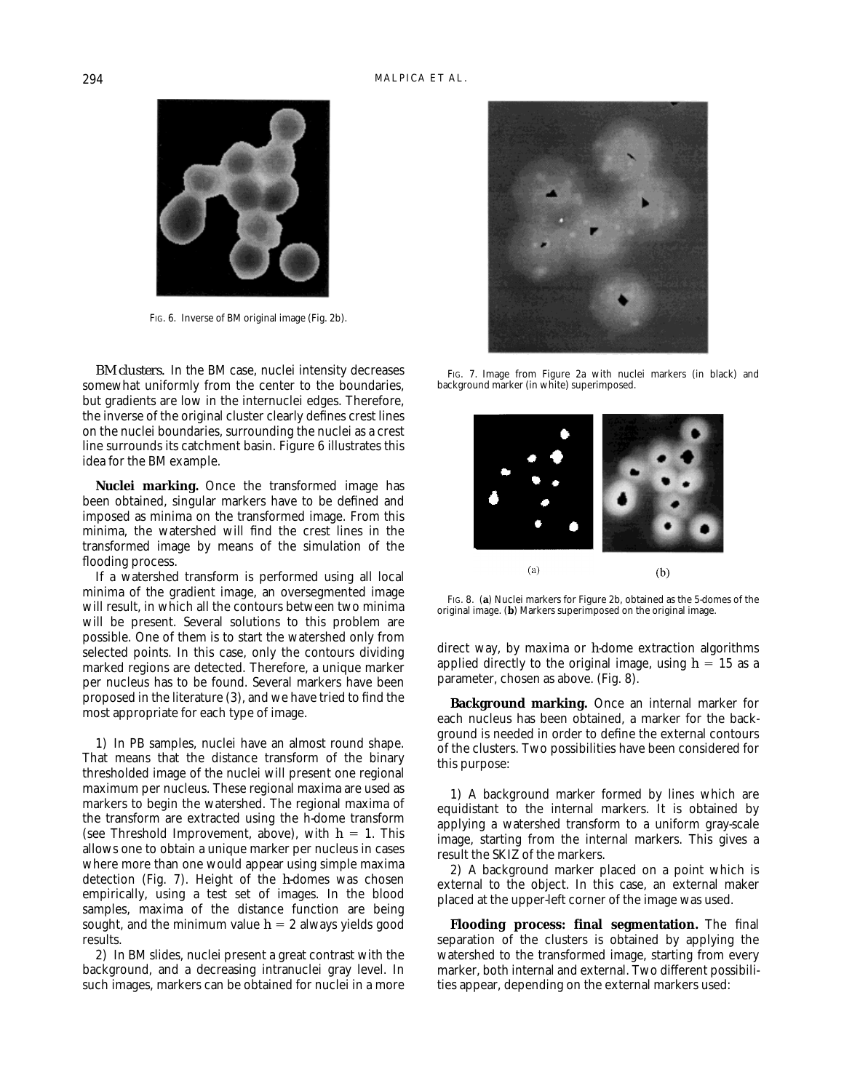

FIG. 6. Inverse of BM original image (Fig. 2b).

*BM clusters.* In the BM case, nuclei intensity decreases somewhat uniformly from the center to the boundaries, but gradients are low in the internuclei edges. Therefore, the inverse of the original cluster clearly defines crest lines on the nuclei boundaries, surrounding the nuclei as a crest line surrounds its catchment basin. Figure 6 illustrates this idea for the BM example.

**Nuclei marking.** Once the transformed image has been obtained, singular markers have to be defined and imposed as minima on the transformed image. From this minima, the watershed will find the crest lines in the transformed image by means of the simulation of the flooding process.

If a watershed transform is performed using all local minima of the gradient image, an oversegmented image will result, in which all the contours between two minima will be present. Several solutions to this problem are possible. One of them is to start the watershed only from selected points. In this case, only the contours dividing marked regions are detected. Therefore, a unique marker per nucleus has to be found. Several markers have been proposed in the literature (3), and we have tried to find the most appropriate for each type of image.

1) In PB samples, nuclei have an almost round shape. That means that the distance transform of the binary thresholded image of the nuclei will present one regional maximum per nucleus. These regional maxima are used as markers to begin the watershed. The regional maxima of the transform are extracted using the h-dome transform (see Threshold Improvement, above), with  $h = 1$ . This allows one to obtain a unique marker per nucleus in cases where more than one would appear using simple maxima detection (Fig. 7). Height of the *h*-domes was chosen empirically, using a test set of images. In the blood samples, maxima of the distance function are being sought, and the minimum value  $h = 2$  always yields good results.

2) In BM slides, nuclei present a great contrast with the background, and a decreasing intranuclei gray level. In such images, markers can be obtained for nuclei in a more



FIG. 7. Image from Figure 2a with nuclei markers (in black) and background marker (in white) superimposed.



FIG. 8. (**a**) Nuclei markers for Figure 2b, obtained as the 5-domes of the original image. (**b**) Markers superimposed on the original image.

direct way, by maxima or *h*-dome extraction algorithms applied directly to the original image, using  $h = 15$  as a parameter, chosen as above. (Fig. 8).

**Background marking.** Once an internal marker for each nucleus has been obtained, a marker for the background is needed in order to define the external contours of the clusters. Two possibilities have been considered for this purpose:

1) A background marker formed by lines which are equidistant to the internal markers. It is obtained by applying a watershed transform to a uniform gray-scale image, starting from the internal markers. This gives a result the SKIZ of the markers.

2) A background marker placed on a point which is external to the object. In this case, an external maker placed at the upper-left corner of the image was used.

**Flooding process: final segmentation.** The final separation of the clusters is obtained by applying the watershed to the transformed image, starting from every marker, both internal and external. Two different possibilities appear, depending on the external markers used: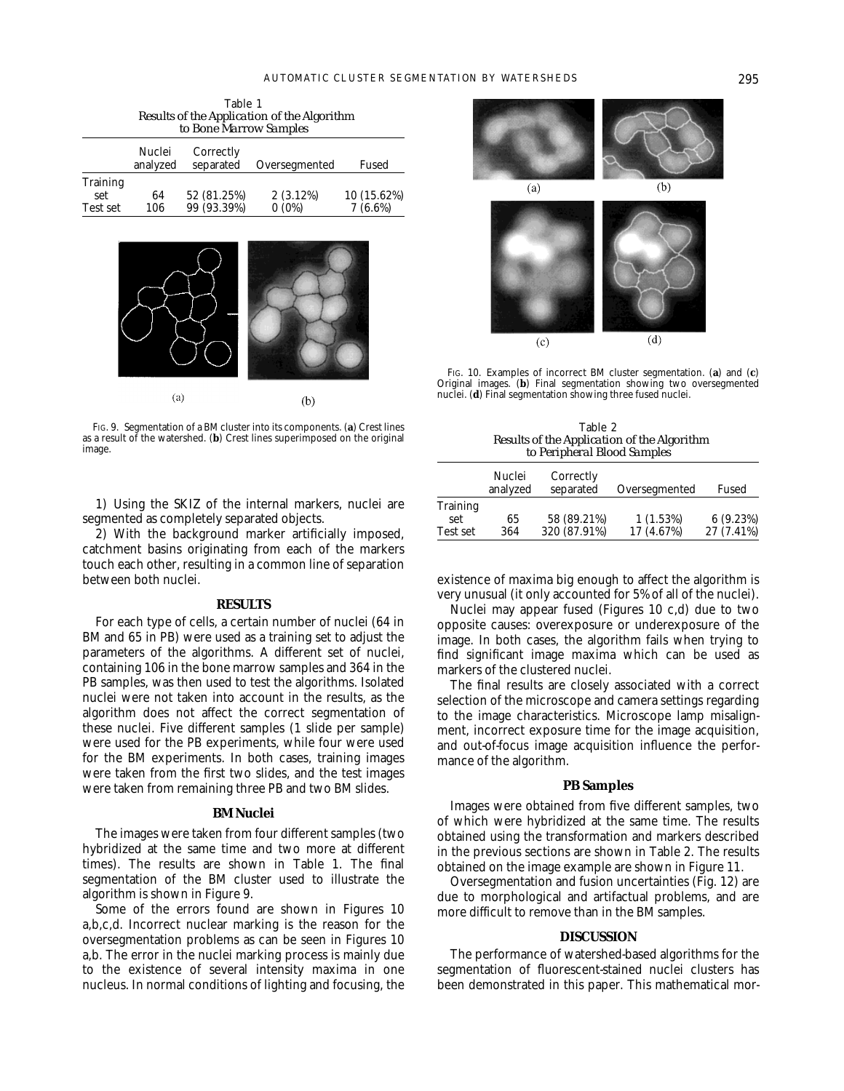| Table 1<br>Results of the Application of the Algorithm<br>to Bone Marrow Samples |                           |                            |                      |                           |  |  |
|----------------------------------------------------------------------------------|---------------------------|----------------------------|----------------------|---------------------------|--|--|
|                                                                                  | <b>Nuclei</b><br>analyzed | Correctly<br>separated     | Oversegmented        | Fused                     |  |  |
| <b>Training</b><br>set<br><b>Test set</b>                                        | 64<br>106                 | 52 (81.25%)<br>99 (93.39%) | 2(3.12%)<br>$0(0\%)$ | 10 (15.62%)<br>$7(6.6\%)$ |  |  |
|                                                                                  |                           |                            |                      |                           |  |  |
|                                                                                  |                           |                            |                      |                           |  |  |

FIG. 9. Segmentation of a BM cluster into its components. (**a**) Crest lines as a result of the watershed. (**b**) Crest lines superimposed on the original image.

 $(b)$ 

 $(a)$ 

1) Using the SKIZ of the internal markers, nuclei are segmented as completely separated objects.

2) With the background marker artificially imposed, catchment basins originating from each of the markers touch each other, resulting in a common line of separation between both nuclei.

#### **RESULTS**

For each type of cells, a certain number of nuclei (64 in BM and 65 in PB) were used as a training set to adjust the parameters of the algorithms. A different set of nuclei, containing 106 in the bone marrow samples and 364 in the PB samples, was then used to test the algorithms. Isolated nuclei were not taken into account in the results, as the algorithm does not affect the correct segmentation of these nuclei. Five different samples (1 slide per sample) were used for the PB experiments, while four were used for the BM experiments. In both cases, training images were taken from the first two slides, and the test images were taken from remaining three PB and two BM slides.

#### **BM Nuclei**

The images were taken from four different samples (two hybridized at the same time and two more at different times). The results are shown in Table 1. The final segmentation of the BM cluster used to illustrate the algorithm is shown in Figure 9.

Some of the errors found are shown in Figures 10 a,b,c,d. Incorrect nuclear marking is the reason for the oversegmentation problems as can be seen in Figures 10 a,b. The error in the nuclei marking process is mainly due to the existence of several intensity maxima in one nucleus. In normal conditions of lighting and focusing, the



FIG. 10. Examples of incorrect BM cluster segmentation. (**a**) and (**c**) Original images. (**b**) Final segmentation showing two oversegmented nuclei. (**d**) Final segmentation showing three fused nuclei.

Table 2 *Results of the Application of the Algorithm to Peripheral Blood Samples*

|                 | <b>Nuclei</b><br>analyzed | Correctly<br>separated | Oversegmented | Fused      |
|-----------------|---------------------------|------------------------|---------------|------------|
| <b>Training</b> |                           |                        |               |            |
| set             | 65                        | 58 (89.21%)            | 1(1.53%)      | 6(9.23%)   |
| <b>Test set</b> | 364                       | 320 (87.91%)           | 17 (4.67%)    | 27 (7.41%) |

existence of maxima big enough to affect the algorithm is very unusual (it only accounted for 5% of all of the nuclei).

Nuclei may appear fused (Figures 10 c,d) due to two opposite causes: overexposure or underexposure of the image. In both cases, the algorithm fails when trying to find significant image maxima which can be used as markers of the clustered nuclei.

The final results are closely associated with a correct selection of the microscope and camera settings regarding to the image characteristics. Microscope lamp misalignment, incorrect exposure time for the image acquisition, and out-of-focus image acquisition influence the performance of the algorithm.

## **PB Samples**

Images were obtained from five different samples, two of which were hybridized at the same time. The results obtained using the transformation and markers described in the previous sections are shown in Table 2. The results obtained on the image example are shown in Figure 11.

Oversegmentation and fusion uncertainties (Fig. 12) are due to morphological and artifactual problems, and are more difficult to remove than in the BM samples.

#### **DISCUSSION**

The performance of watershed-based algorithms for the segmentation of fluorescent-stained nuclei clusters has been demonstrated in this paper. This mathematical mor-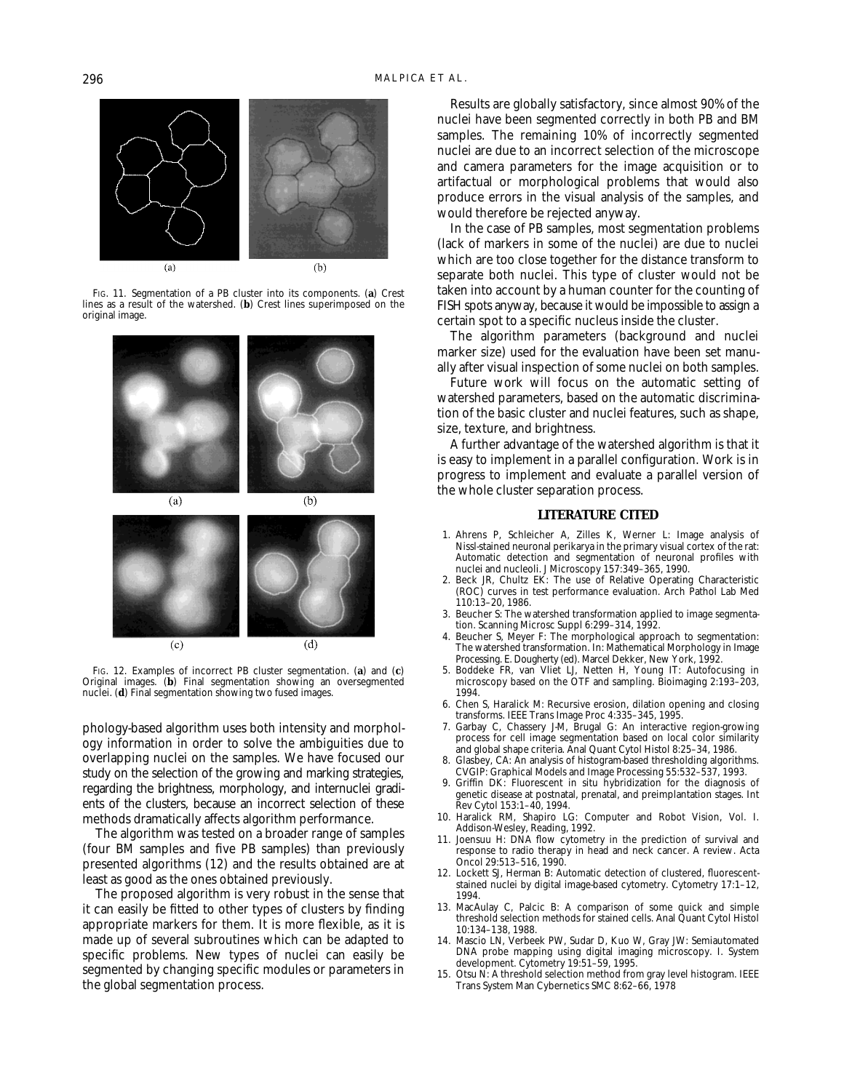

FIG. 11. Segmentation of a PB cluster into its components. (**a**) Crest lines as a result of the watershed. (**b**) Crest lines superimposed on the original image.



FIG. 12. Examples of incorrect PB cluster segmentation. (**a**) and (**c**) Original images. (**b**) Final segmentation showing an oversegmented nuclei. (**d**) Final segmentation showing two fused images.

phology-based algorithm uses both intensity and morphology information in order to solve the ambiguities due to overlapping nuclei on the samples. We have focused our study on the selection of the growing and marking strategies, regarding the brightness, morphology, and internuclei gradients of the clusters, because an incorrect selection of these methods dramatically affects algorithm performance.

The algorithm was tested on a broader range of samples (four BM samples and five PB samples) than previously presented algorithms (12) and the results obtained are at least as good as the ones obtained previously.

The proposed algorithm is very robust in the sense that it can easily be fitted to other types of clusters by finding appropriate markers for them. It is more flexible, as it is made up of several subroutines which can be adapted to specific problems. New types of nuclei can easily be segmented by changing specific modules or parameters in the global segmentation process.

Results are globally satisfactory, since almost 90% of the nuclei have been segmented correctly in both PB and BM samples. The remaining 10% of incorrectly segmented nuclei are due to an incorrect selection of the microscope and camera parameters for the image acquisition or to artifactual or morphological problems that would also produce errors in the visual analysis of the samples, and would therefore be rejected anyway.

In the case of PB samples, most segmentation problems (lack of markers in some of the nuclei) are due to nuclei which are too close together for the distance transform to separate both nuclei. This type of cluster would not be taken into account by a human counter for the counting of FISH spots anyway, because it would be impossible to assign a certain spot to a specific nucleus inside the cluster.

The algorithm parameters (background and nuclei marker size) used for the evaluation have been set manually after visual inspection of some nuclei on both samples.

Future work will focus on the automatic setting of watershed parameters, based on the automatic discrimination of the basic cluster and nuclei features, such as shape, size, texture, and brightness.

A further advantage of the watershed algorithm is that it is easy to implement in a parallel configuration. Work is in progress to implement and evaluate a parallel version of the whole cluster separation process.

#### **LITERATURE CITED**

- 1. Ahrens P, Schleicher A, Zilles K, Werner L: Image analysis of Nissl-stained neuronal perikarya in the primary visual cortex of the rat: Automatic detection and segmentation of neuronal profiles with nuclei and nucleoli. J Microscopy 157:349–365, 1990.
- 2. Beck JR, Chultz EK: The use of Relative Operating Characteristic (ROC) curves in test performance evaluation. Arch Pathol Lab Med 110:13–20, 1986.
- 3. Beucher S: The watershed transformation applied to image segmentation. Scanning Microsc Suppl 6:299–314, 1992.
- 4. Beucher S, Meyer F: The morphological approach to segmentation: The watershed transformation. In: Mathematical Morphology in Image Processing. E. Dougherty (ed). Marcel Dekker, New York, 1992.
- 5. Boddeke FR, van Vliet LJ, Netten H, Young IT: Autofocusing in microscopy based on the OTF and sampling. Bioimaging 2:193–203, 1994.
- 6. Chen S, Haralick M: Recursive erosion, dilation opening and closing transforms. IEEE Trans Image Proc 4:335–345, 1995.
- Garbay C, Chassery J-M, Brugal G: An interactive region-growing process for cell image segmentation based on local color similarity and global shape criteria. Anal Quant Cytol Histol 8:25–34, 1986.
- 8. Glasbey, CA: An analysis of histogram-based thresholding algorithms. CVGIP: Graphical Models and Image Processing 55:532–537, 1993.
- 9. Griffin DK: Fluorescent in situ hybridization for the diagnosis of genetic disease at postnatal, prenatal, and preimplantation stages. Int Rev Cytol 153:1–40, 1994.
- 10. Haralick RM, Shapiro LG: Computer and Robot Vision, Vol. I. Addison-Wesley, Reading, 1992.
- 11. Joensuu H: DŇA flow cytometry in the prediction of survival and response to radio therapy in head and neck cancer. A review. Acta Oncol 29:513–516, 1990.
- 12. Lockett SJ, Herman B: Automatic detection of clustered, fluorescentstained nuclei by digital image-based cytometry. Cytometry 17:1–12, 1994.
- 13. MacAulay C, Palcic B: A comparison of some quick and simple threshold selection methods for stained cells. Anal Quant Cytol Histol 10:134–138, 1988.
- 14. Mascio LN, Verbeek PW, Sudar D, Kuo W, Gray JW: Semiautomated DNA probe mapping using digital imaging microscopy. I. System development. Cytometry 19:51–59, 1995.
- 15. Otsu N: A threshold selection method from gray level histogram. IEEE Trans System Man Cybernetics SMC 8:62–66, 1978